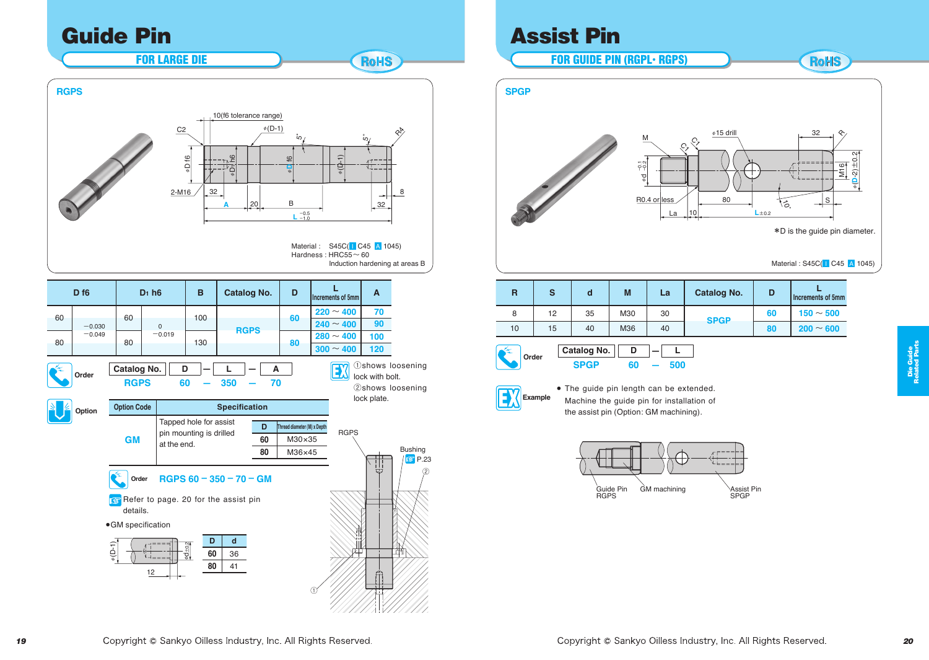## Guide Pin

FOR LARGE DIE

8 32 **A BABAYA BA** φ**D** f6  $\mathbb{Q}$ φ(D-1) 20 32 5**˚** 5**˚**  $\mathbb{Q}\times\mathbb{R}$ φD f6 10(f6 tolerance range) 2-M16 C2 **L** -0.5 -1.0 R4 **RGPS**

**19 2008 2009 <b>19 2009 2009 2009 2009 2009 2009 2009 2009 2009 2009 2009 2009 2009 2009 2009 2009 2009 2009 2009 2009 2009 2009 2009 2009 2009 2009 2009 2009 20** 8 **120 7** ①shows loosening **RGPS** Bushing **A** B φ**D** f6 **RGPS** <sup>φ</sup>(D-1) 5**˚ D f6 D1 h6 <sup>B</sup> Catalog No. <sup>D</sup> <sup>L</sup>**  $\left| \right|$ 20 32 **A**<br>Increments of 5mm  $\frac{100}{100}$  $\overline{0}$ <u>xxxxxxxxxxx</u> 2-M16  $D_1$  h<sub>6</sub>  $\frac{A}{70}$ R4 RGPS Induction hardening at areas B **Order Catalog No. D**  $-$  **L**  $-$  **RGPS** 60 – 350 – **RGPS 60 – 350 – 70 Option Option Code Specification GM** Tapped hole for assist pin mounting is drilled at the end. **Order RGPS 60 – 350 – 70 – GM** Refer to page. 20 for the assist pin details. 60  $-0.030$  $-0.049$ 60  $-0.019$ **<sup>60</sup> <sup>220</sup>** <sup>~</sup> **<sup>400</sup>**  $240 \sim 400$ **70 90**  $\begin{array}{|c|c|c|c|c|c|}\n\hline\n80 & -0.049 & 80 & 130 & 130 & 80 & 280 & 400 \\
\hline\n\end{array}$  $300 \sim 400$ **100 D Thread diameter (M) x Depth 60** M30×35 **80** M36×45 **D d 60** 36 **80** 41 ● GM specification φd±0.2 φ(D-1) lock with bolt. ②shows loosening lock plate.

# Assist Pin

φ.,

FOR GUIDE PIN (RGPL• RGPS)

RoHS



Material : S45C(**I C45 A 1045)**<br> **All Carlos Contracts** 

| R     | S  | d                          | M       | La  | <b>Catalog No.</b> | D  | <b>Increments of 5mm</b> |
|-------|----|----------------------------|---------|-----|--------------------|----|--------------------------|
| 8     | 12 | 35                         | M30     | 30  | <b>SPGP</b>        | 60 | $150 \sim 500$           |
| 10    | 15 | 40                         | M36     | 40  |                    | 80 | $200 \sim 600$           |
| Order |    | Catalog No.<br><b>SPGP</b> | D<br>60 | 500 |                    |    |                          |



**P.23** ②

Machine the guide pin for installation of GM machining Assist Pin ● The guide pin length can be extended. the assist pin (Option: GM machining).



12

①

Material : S45C( I C45 A 1045) Hardness : HRC55~ 60

**RoHS**